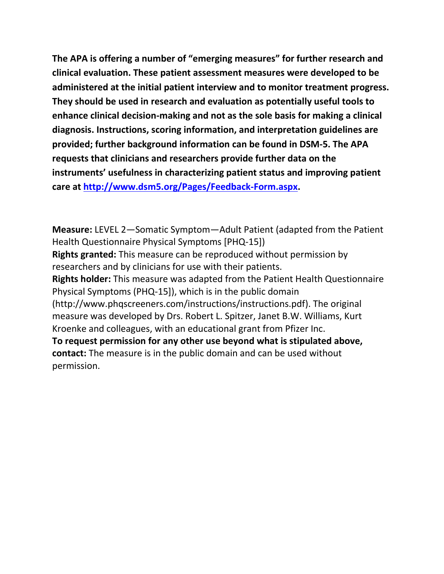**The APA is offering a number of "emerging measures" for further research and clinical evaluation. These patient assessment measures were developed to be administered at the initial patient interview and to monitor treatment progress. They should be used in research and evaluation as potentially useful tools to enhance clinical decision-making and not as the sole basis for making a clinical diagnosis. Instructions, scoring information, and interpretation guidelines are provided; further background information can be found in DSM-5. The APA requests that clinicians and researchers provide further data on the instruments' usefulness in characterizing patient status and improving patient care at [http://www.dsm5.org/Pages/Feedback-Form.aspx.](http://www.dsm5.org/Pages/Feedback-Form.aspx)**

**Measure:** LEVEL 2—Somatic Symptom—Adult Patient (adapted from the Patient Health Questionnaire Physical Symptoms [PHQ-15]) **Rights granted:** This measure can be reproduced without permission by researchers and by clinicians for use with their patients. **Rights holder:** This measure was adapted from the Patient Health Questionnaire Physical Symptoms (PHQ-15]), which is in the public domain (http://www.phqscreeners.com/instructions/instructions.pdf). The original measure was developed by Drs. Robert L. Spitzer, Janet B.W. Williams, Kurt Kroenke and colleagues, with an educational grant from Pfizer Inc. **To request permission for any other use beyond what is stipulated above, contact:** The measure is in the public domain and can be used without permission.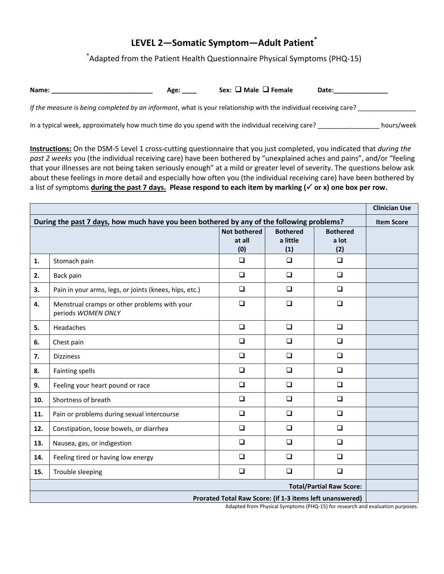# **LEVEL 2—Somatic Symptom—Adult Patient\***

\* Adapted from the Patient Health Questionnaire Physical Symptoms (PHQ-15)

| Name: | Age <sup>.</sup> | Sex: $\Box$ Male $\Box$ Female | Date: |
|-------|------------------|--------------------------------|-------|
|-------|------------------|--------------------------------|-------|

*If the measure is being completed by an informant*, what is your relationship with the individual receiving care?

In a typical week, approximately how much time do you spend with the individual receiving care? \_\_\_\_\_\_\_\_\_\_\_\_\_\_\_\_\_ hours/week

**Instructions:** On the DSM-5 Level 1 cross-cutting questionnaire that you just completed, you indicated that *during the past 2 weeks* you (the individual receiving care) have been bothered by "unexplained aches and pains", and/or "feeling that your illnesses are not being taken seriously enough" at a mild or greater level of severity. The questions below ask about these feelings in more detail and especially how often you (the individual receiving care) have been bothered by a list of symptoms **during the past 7 days. Please respond to each item by marking ( or x) one box per row.** 

|                                                                                           |                                                                                                                                          |                                      |                                    |                                 | <b>Clinician Use</b> |  |
|-------------------------------------------------------------------------------------------|------------------------------------------------------------------------------------------------------------------------------------------|--------------------------------------|------------------------------------|---------------------------------|----------------------|--|
| During the past 7 days, how much have you been bothered by any of the following problems? |                                                                                                                                          |                                      |                                    |                                 | <b>Item Score</b>    |  |
|                                                                                           |                                                                                                                                          | <b>Not bothered</b><br>at all<br>(0) | <b>Bothered</b><br>a little<br>(1) | <b>Bothered</b><br>a lot<br>(2) |                      |  |
| 1.                                                                                        | Stomach pain                                                                                                                             | $\Box$                               | $\Box$                             | $\Box$                          |                      |  |
| 2.                                                                                        | Back pain                                                                                                                                | $\Box$                               | $\Box$                             | $\Box$                          |                      |  |
| 3.                                                                                        | Pain in your arms, legs, or joints (knees, hips, etc.)                                                                                   | $\Box$                               | $\Box$                             | $\Box$                          |                      |  |
| 4.                                                                                        | Menstrual cramps or other problems with your<br>periods WOMEN ONLY                                                                       | $\Box$                               | $\Box$                             | $\Box$                          |                      |  |
| 5.                                                                                        | Headaches                                                                                                                                | $\Box$                               | $\Box$                             | $\Box$                          |                      |  |
| 6.                                                                                        | Chest pain                                                                                                                               | $\Box$                               | $\Box$                             | $\Box$                          |                      |  |
| 7.                                                                                        | <b>Dizziness</b>                                                                                                                         | $\Box$                               | $\Box$                             | $\Box$                          |                      |  |
| 8.                                                                                        | <b>Fainting spells</b>                                                                                                                   | $\Box$                               | $\Box$                             | $\Box$                          |                      |  |
| 9.                                                                                        | Feeling your heart pound or race                                                                                                         | $\Box$                               | $\Box$                             | $\Box$                          |                      |  |
| 10.                                                                                       | Shortness of breath                                                                                                                      | $\Box$                               | $\Box$                             | $\Box$                          |                      |  |
| 11.                                                                                       | Pain or problems during sexual intercourse                                                                                               | $\Box$                               | $\Box$                             | $\Box$                          |                      |  |
| 12.                                                                                       | Constipation, loose bowels, or diarrhea                                                                                                  | $\Box$                               | $\Box$                             | $\Box$                          |                      |  |
| 13.                                                                                       | Nausea, gas, or indigestion                                                                                                              | $\Box$                               | $\Box$                             | $\Box$                          |                      |  |
| 14.                                                                                       | Feeling tired or having low energy                                                                                                       | $\Box$                               | $\Box$                             | $\Box$                          |                      |  |
| 15.                                                                                       | Trouble sleeping                                                                                                                         | $\Box$                               | $\Box$                             | $\Box$                          |                      |  |
|                                                                                           | <b>Total/Partial Raw Score:</b>                                                                                                          |                                      |                                    |                                 |                      |  |
|                                                                                           | Prorated Total Raw Score: (if 1-3 items left unanswered)<br>Adapted from Physical Symptoms (PHO-15) for research and evaluation purposes |                                      |                                    |                                 |                      |  |

Adapted from Physical Symptoms (PHQ-15) for research and evaluation purposes.